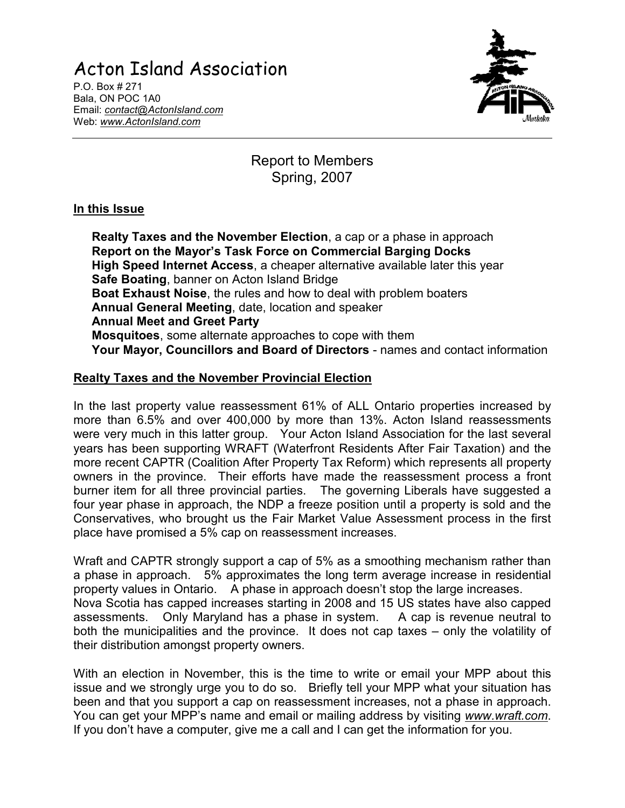# Acton Island Association

P.O. Box # 271 Bala, ON POC 1A0 Email: contact@ActonIsland.com Web: www.ActonIsland.com



# Report to Members Spring, 2007

#### In this Issue

Realty Taxes and the November Election, a cap or a phase in approach Report on the Mayor's Task Force on Commercial Barging Docks High Speed Internet Access, a cheaper alternative available later this year Safe Boating, banner on Acton Island Bridge Boat Exhaust Noise, the rules and how to deal with problem boaters Annual General Meeting, date, location and speaker Annual Meet and Greet Party Mosquitoes, some alternate approaches to cope with them Your Mayor, Councillors and Board of Directors - names and contact information

## Realty Taxes and the November Provincial Election

In the last property value reassessment 61% of ALL Ontario properties increased by more than 6.5% and over 400,000 by more than 13%. Acton Island reassessments were very much in this latter group. Your Acton Island Association for the last several years has been supporting WRAFT (Waterfront Residents After Fair Taxation) and the more recent CAPTR (Coalition After Property Tax Reform) which represents all property owners in the province. Their efforts have made the reassessment process a front burner item for all three provincial parties. The governing Liberals have suggested a four year phase in approach, the NDP a freeze position until a property is sold and the Conservatives, who brought us the Fair Market Value Assessment process in the first place have promised a 5% cap on reassessment increases.

Wraft and CAPTR strongly support a cap of 5% as a smoothing mechanism rather than a phase in approach. 5% approximates the long term average increase in residential property values in Ontario. A phase in approach doesn't stop the large increases. Nova Scotia has capped increases starting in 2008 and 15 US states have also capped assessments. Only Maryland has a phase in system. A cap is revenue neutral to both the municipalities and the province. It does not cap taxes – only the volatility of their distribution amongst property owners.

With an election in November, this is the time to write or email your MPP about this issue and we strongly urge you to do so. Briefly tell your MPP what your situation has been and that you support a cap on reassessment increases, not a phase in approach. You can get your MPP's name and email or mailing address by visiting www.wraft.com. If you don't have a computer, give me a call and I can get the information for you.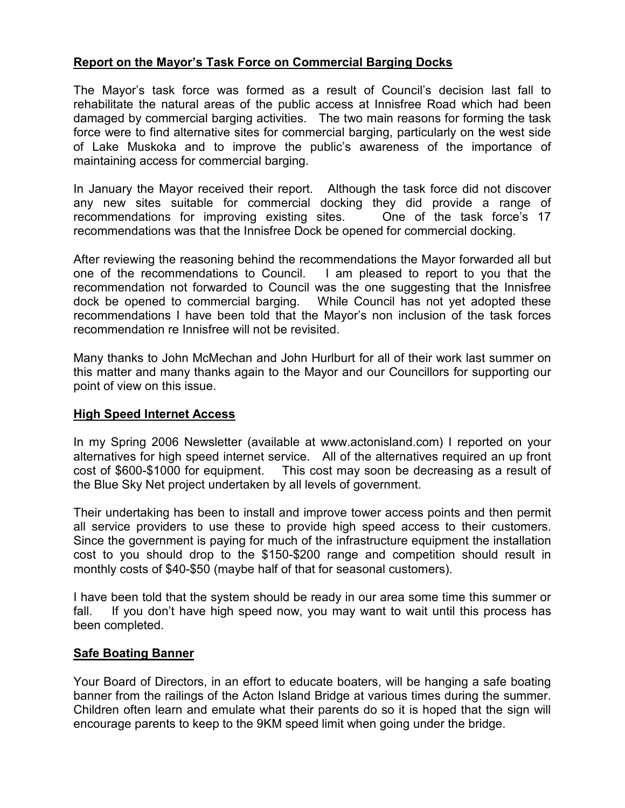#### Report on the Mayor's Task Force on Commercial Barging Docks

The Mayor's task force was formed as a result of Council's decision last fall to rehabilitate the natural areas of the public access at Innisfree Road which had been damaged by commercial barging activities. The two main reasons for forming the task force were to find alternative sites for commercial barging, particularly on the west side of Lake Muskoka and to improve the public's awareness of the importance of maintaining access for commercial barging.

In January the Mayor received their report. Although the task force did not discover any new sites suitable for commercial docking they did provide a range of recommendations for improving existing sites. One of the task force's 17 recommendations was that the Innisfree Dock be opened for commercial docking.

After reviewing the reasoning behind the recommendations the Mayor forwarded all but one of the recommendations to Council. I am pleased to report to you that the recommendation not forwarded to Council was the one suggesting that the Innisfree dock be opened to commercial barging. While Council has not yet adopted these recommendations I have been told that the Mayor's non inclusion of the task forces recommendation re Innisfree will not be revisited.

Many thanks to John McMechan and John Hurlburt for all of their work last summer on this matter and many thanks again to the Mayor and our Councillors for supporting our point of view on this issue.

#### High Speed Internet Access

In my Spring 2006 Newsletter (available at www.actonisland.com) I reported on your alternatives for high speed internet service. All of the alternatives required an up front cost of \$600-\$1000 for equipment. This cost may soon be decreasing as a result of the Blue Sky Net project undertaken by all levels of government.

Their undertaking has been to install and improve tower access points and then permit all service providers to use these to provide high speed access to their customers. Since the government is paying for much of the infrastructure equipment the installation cost to you should drop to the \$150-\$200 range and competition should result in monthly costs of \$40-\$50 (maybe half of that for seasonal customers).

I have been told that the system should be ready in our area some time this summer or fall. If you don't have high speed now, you may want to wait until this process has been completed.

#### Safe Boating Banner

Your Board of Directors, in an effort to educate boaters, will be hanging a safe boating banner from the railings of the Acton Island Bridge at various times during the summer. Children often learn and emulate what their parents do so it is hoped that the sign will encourage parents to keep to the 9KM speed limit when going under the bridge.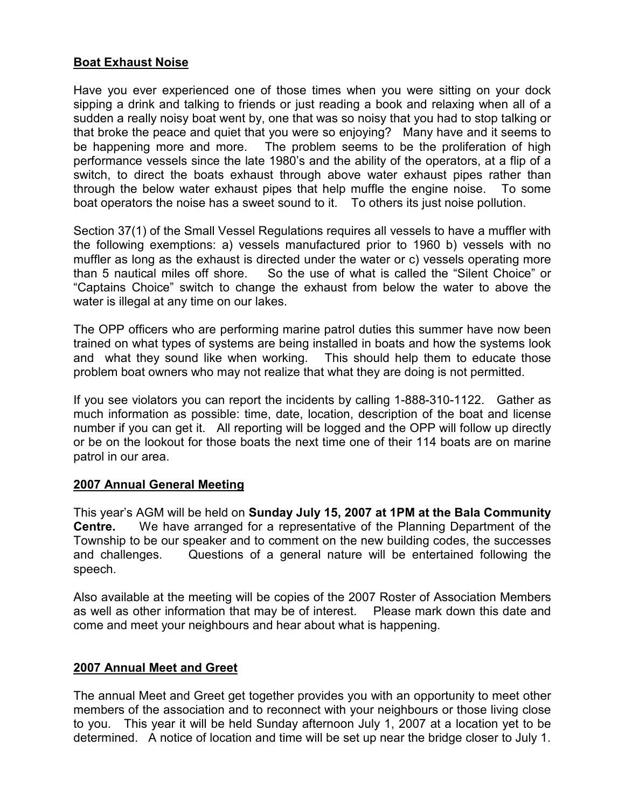#### Boat Exhaust Noise

Have you ever experienced one of those times when you were sitting on your dock sipping a drink and talking to friends or just reading a book and relaxing when all of a sudden a really noisy boat went by, one that was so noisy that you had to stop talking or that broke the peace and quiet that you were so enjoying? Many have and it seems to be happening more and more. The problem seems to be the proliferation of high performance vessels since the late 1980's and the ability of the operators, at a flip of a switch, to direct the boats exhaust through above water exhaust pipes rather than through the below water exhaust pipes that help muffle the engine noise. To some boat operators the noise has a sweet sound to it. To others its just noise pollution.

Section 37(1) of the Small Vessel Regulations requires all vessels to have a muffler with the following exemptions: a) vessels manufactured prior to 1960 b) vessels with no muffler as long as the exhaust is directed under the water or c) vessels operating more than 5 nautical miles off shore. So the use of what is called the "Silent Choice" or "Captains Choice" switch to change the exhaust from below the water to above the water is illegal at any time on our lakes.

The OPP officers who are performing marine patrol duties this summer have now been trained on what types of systems are being installed in boats and how the systems look and what they sound like when working. This should help them to educate those problem boat owners who may not realize that what they are doing is not permitted.

If you see violators you can report the incidents by calling 1-888-310-1122. Gather as much information as possible: time, date, location, description of the boat and license number if you can get it. All reporting will be logged and the OPP will follow up directly or be on the lookout for those boats the next time one of their 114 boats are on marine patrol in our area.

#### 2007 Annual General Meeting

This year's AGM will be held on Sunday July 15, 2007 at 1PM at the Bala Community Centre. We have arranged for a representative of the Planning Department of the Township to be our speaker and to comment on the new building codes, the successes and challenges. Questions of a general nature will be entertained following the speech.

Also available at the meeting will be copies of the 2007 Roster of Association Members as well as other information that may be of interest. Please mark down this date and come and meet your neighbours and hear about what is happening.

### 2007 Annual Meet and Greet

The annual Meet and Greet get together provides you with an opportunity to meet other members of the association and to reconnect with your neighbours or those living close to you. This year it will be held Sunday afternoon July 1, 2007 at a location yet to be determined. A notice of location and time will be set up near the bridge closer to July 1.